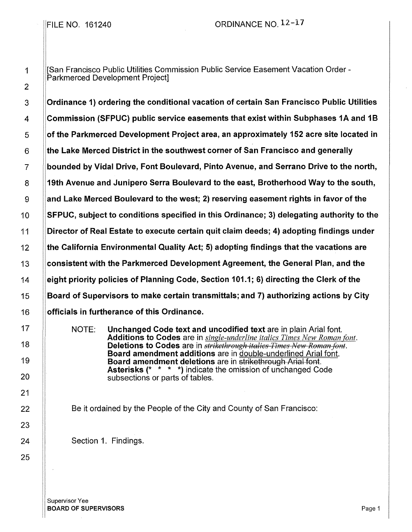## FILE NO.  $161240$  ORDINANCE NO.  $12-17$

1 |San Francisco Public Utilities Commission Public Service Easement Vacation Order -Parkmerced Development Project]

3 Ordinance 1) ordering the conditional vacation of certain San Francisco Public Utilities 4 Commission (SFPUC} public service easements that exist within Subphases 1A and 1B 5 **of the Parkmerced Development Project area, an approximately 152 acre site located in** 6 Hthe Lake Merced District in the southwest corner of San Francisco and generally 7 bounded by Vidal Drive, Font Boulevard, Pinto Avenue, and Serrano Drive to the north, 8 19th Avenue and Junipero Serra Boulevard to the east, Brotherhood Way to the south, g and Lake Merced Boulevard to the west; 2) reserving easement rights in favor of the 10 SFPUC, subject to conditions specified in this Ordinance; 3) delegating authority to the 11 Director of Real Estate to execute certain quit claim deeds; 4) adopting findings under 12 the California Environmental Quality Act; 5) adopting findings that the vacations are 13 Consistent with the Parkmerced Development Agreement, the General Plan, and the 14 eight priority policies of Planning Code, Section 101.1; 6) directing the Clerk of the 15 Board of Supervisors to make certain transmittals; and 7) authorizing actions by City 16 **Superificals in furtherance of this Ordinance.** 

> NOTE: Unchanged Code text and uncodified text are in plain Arial font. Additions to Codes are in *single-underline italics Times New Roman font.*  Deletions to Codes are in *strikethrough italics Times New Roman font.* Board amendment additions are in double-underlined Arial font. Board amendment deletions are in strikethrough Arial font. Asterisks (\* \* \* \*) indicate the omission of unchanged Code subsections or parts of tables.

Be it ordained by the People of the City and County of San Francisco:

Section 1. Findings.

Supervisor Yee **BOARD OF SUPERVISORS** Page 1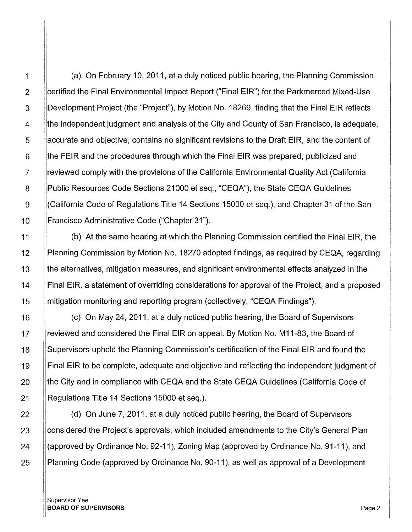(a) On February 10, 2011, at a duly noticed public hearing, the Planning Commission certified the Final Environmental Impact Report ("Final EIR") for the Parkmerced Mixed-Use Development Project (the "Project"), by Motion No. 18269, finding that the Final EIR reflects the independent judgment and analysis of the City and County of San Francisco, is adequate, accurate and objective, contains no significant revisions to the Draft EIR, and the content of the FEIR and the procedures through which the Final EIR was prepared, publicized and reviewed comply with the provisions of the California Environmental Quality Act (California Public Resources Code Sections 21000 et seq., "CEQA"), the State CEQA Guidelines (California Code of Regulations Title 14 Sections 15000 et seq.), and Chapter 31 of the San Francisco Administrative Code ("Chapter 31").

(b) At the same hearing at which the Planning Commission certified the Final EIR, the Planning Commission by Motion No. 18270 adopted findings, as required by CEQA, regarding the alternatives, mitigation measures, and significant environmental effects analyzed in the Final EIR, a statement of overriding considerations for approval of the Project, and a proposed mitigation monitoring and reporting program (collectively, "CEQA Findings").

(c) On May 24, 2011, at a duly noticed public hearing, the Board of Supervisors reviewed and considered the Final EIR on appeal. By Motion No. M11-83, the Board of Supervisors upheld the Planning Commission's certification of the Final EIR and found the Final EIR to be complete, adequate and objective and reflecting the independent judgment of the City and in compliance with CEQA and the State CEQA Guidelines (California Code of Regulations Title 14 Sections 15000 et seq.).

(d) On June 7, 2011, at a duly noticed public hearing, the Board of Supervisors considered the Project's approvals, which included amendments to the City's General Plan (approved by Ordinance No. 92-11), Zoning Map (approved by Ordinance No. 91-11), and Planning Code (approved by Ordinance No. 90-11), as well as approval of a Development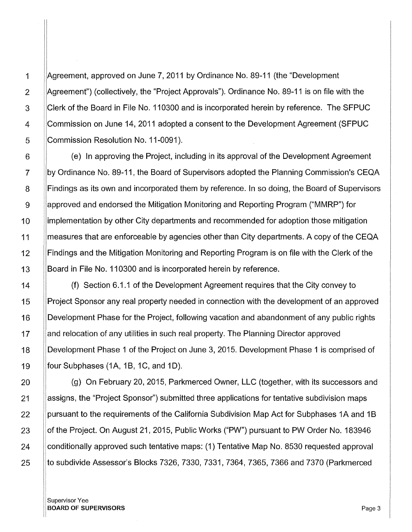[Agreement, approved on June 7, 2011 by Ordinance No. 89-11 (the "Development !Agreement") (collectively, the "Project Approvals"). Ordinance No. 89-11 is on file with the Clerk of the Board in File No. 110300 and is incorporated herein by reference. The SFPUC Commission on June 14, 2011 adopted a consent to the Development Agreement (SFPUC I Commission Resolution No. 11-0091 ).

(e) In approving the Project, including in its approval of the Development Agreement by Ordinance No. 89-11, the Board of Supervisors adopted the Planning Commission's CEQA Findings as its own and incorporated them by reference. In so doing, the Board of Supervisors approved and endorsed the Mitigation Monitoring and Reporting Program ("MMRP") for implementation by other City departments and recommended for adoption those mitigation measures that are enforceable by agencies other than City departments. A copy of the CEQA Findings and the Mitigation Monitoring and Reporting Program is on file with the Clerk of the Board in File No. 110300 and is incorporated herein by reference.

(f) Section 6.1.1 of the Development Agreement requires that the City convey to Project Sponsor any real property needed in connection with the development of an approved Development Phase for the Project, following vacation and abandonment of any public rights and relocation of any utilities in such real property. The Planning Director approved Development Phase 1 of the Project on June 3, 2015. Development Phase 1 is comprised of four Subphases (1A, 1B, 1C, and 1D).

(g) On February 20, 2015, Parkmerced Owner, LLC (together, with its successors and assigns, the "Project Sponsor") submitted three applications for tentative subdivision maps pursuant to the requirements of the California Subdivision Map Act for Subphases 1A and 1 B of the Project. On August 21, 2015, Public Works ("PW") pursuant to PW Order No. 183946 conditionally approved such tentative maps: (1) Tentative Map No. 8530 requested approval to subdivide Assessor's Blocks 7326, 7330, 7331, 7364, 7365, 7366 and 7370 (Parkmerced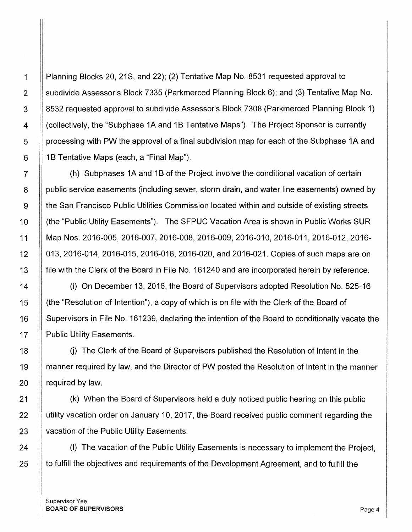1 Planning Blocks 20, 21S, and 22); (2) Tentative Map No. 8531 requested approval to 2 subdivide Assessor's Block 7335 (Parkmerced Planning Block 6); and (3) Tentative Map No. 3 8532 requested approval to subdivide Assessor's Block 7308 (Parkmerced Planning Block 1) 4 | Collectively, the "Subphase 1A and 1B Tentative Maps"). The Project Sponsor is currently 5 | processing with PW the approval of a final subdivision map for each of the Subphase 1A and  $6$  | 1B Tentative Maps (each, a "Final Map").

7 | (h) Subphases 1A and 1B of the Project involve the conditional vacation of certain 8 | public service easements (including sewer, storm drain, and water line easements) owned by 9 the San Francisco Public Utilities Commission located within and outside of existing streets 10 | (the "Public Utility Easements"). The SFPUC Vacation Area is shown in Public Works SUR 11 Map Nos. 2016-005, 2016-007, 2016-008, 2016-009, 2016-010, 2016-011, 2016-012, 2016- 12 013, 2016-014, 2016-015, 2016-016, 2016-020, and 2016-021. Copies of such maps are on 13 **Fille with the Clerk of the Board in File No. 161240 and are incorporated herein by reference.** 

14 (i) On December 13, 2016, the Board of Supervisors adopted Resolution No. 525-16 15 (the "Resolution of Intention"), a copy of which is on file with the Clerk of the Board of 16 Supervisors in File No. 161239, declaring the intention of the Board to conditionally vacate the 17 | Public Utility Easements.

18 | (i) The Clerk of the Board of Supervisors published the Resolution of Intent in the 19 manner required by law, and the Director of PW posted the Resolution of Intent in the manner 20  $\parallel$  required by law.

21 (k) When the Board of Supervisors held a duly noticed public hearing on this public 22 | utility vacation order on January 10, 2017, the Board received public comment regarding the 23 | vacation of the Public Utility Easements.

24 | (I) The vacation of the Public Utility Easements is necessary to implement the Project, 25 | to fulfill the objectives and requirements of the Development Agreement, and to fulfill the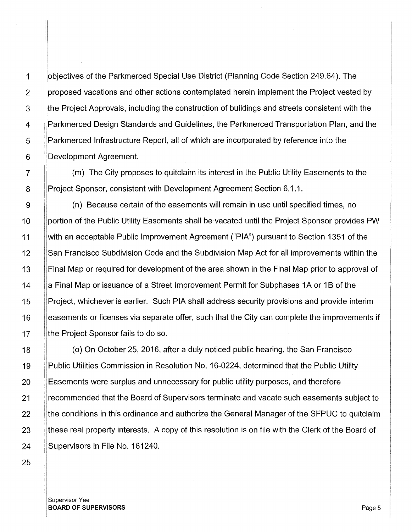objectives of the Parkmerced Special Use District (Planning Code Section 249.64). The proposed vacations and other actions contemplated herein implement the Project vested by the Project Approvals, including the construction of buildings and streets consistent with the I /Parkmerced Design Standards and Guidelines, the Parkmerced Transportation Plan, and the I Parkmerced Infrastructure Report, all of which are incorporated by reference into the Development Agreement.

(m) The City proposes to quitclaim its interest in the Public Utility Easements to the Project Sponsor, consistent with Development Agreement Section 6.1.1.

I (n) Because certain of the easements will remain in use until specified times, no portion of the Public Utility Easements shall be vacated until the Project Sponsor provides PW with an acceptable Public Improvement Agreement ("PIA") pursuant to Section 1351 of the San Francisco Subdivision Code and the Subdivision Map Act for all improvements within the Final Map or required for development of the area shown in the Final Map prior to approval of a Final Map or issuance of a Street Improvement Permit for Subphases 1A or 1B of the Project, whichever is earlier. Such PIA shall address security provisions and provide interim easements or licenses via separate offer, such that the City can complete the improvements if the Project Sponsor fails to do so.

( o) On October 25, 2016, after a duly noticed public hearing, the San Francisco Public Utilities Commission in Resolution No. 16-0224, determined that the Public Utility Easements were surplus and unnecessary for public utility purposes, and therefore recommended that the Board of Supervisors terminate and vacate such easements subject to 1the conditions in this ordinance and authorize the General Manager of the SFPUC to quitclaim these real property interests. A copy of this resolution is on file with the Clerk of the Board of Supervisors in File No. 161240.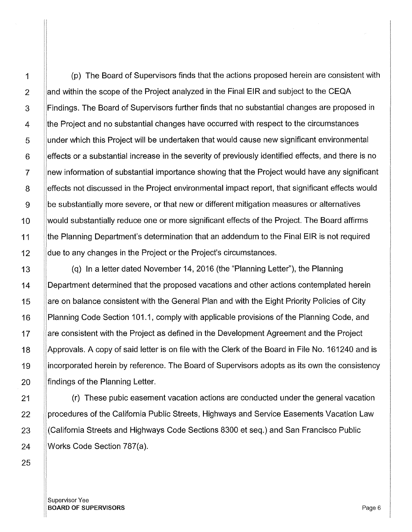1 (p) The Board of Supervisors finds that the actions proposed herein are consistent with 2  $\parallel$   $\parallel$  and within the scope of the Project analyzed in the Final EIR and subject to the CEQA 3  $\parallel$   $\parallel$  Findings. The Board of Supervisors further finds that no substantial changes are proposed in i 4 | the Project and no substantial changes have occurred with respect to the circumstances I 5 I lunder which this Project will be undertaken that would cause new significant environmental I  $6$  | effects or a substantial increase in the severity of previously identified effects, and there is no 7 !new information of substantial importance showing that the Project would have any significant I 8 | effects not discussed in the Project environmental impact report, that significant effects would 9 | be substantially more severe, or that new or different mitigation measures or alternatives 10 Would substantially reduce one or more significant effects of the Project. The Board affirms 11 the Planning Department's determination that an addendum to the Final EIR is not required 12 **due to any changes in the Project or the Project's circumstances.** 

13 13 (a) In a letter dated November 14, 2016 (the "Planning Letter"), the Planning 14 **Department determined that the proposed vacations and other actions contemplated herein** 15 are on balance consistent with the General Plan and with the Eight Priority Policies of City 16 | Planning Code Section 101.1, comply with applicable provisions of the Planning Code, and 17 | are consistent with the Project as defined in the Development Agreement and the Project 18 Approvals. A copy of said letter is on file with the Clerk of the Board in File No. 161240 and is 19 incorporated herein by reference. The Board of Supervisors adopts as its own the consistency  $20$  ||findings of the Planning Letter.

21 | (r) These pubic easement vacation actions are conducted under the general vacation 22 Procedures of the California Public Streets, Highways and Service Easements Vacation Law 23 (California Streets and Highways Code Sections 8300 et seq.) and San Francisco Public 24 Works Code Section 787(a).

Supervisor Yee **BOARD OF SUPERVISORS Page 6**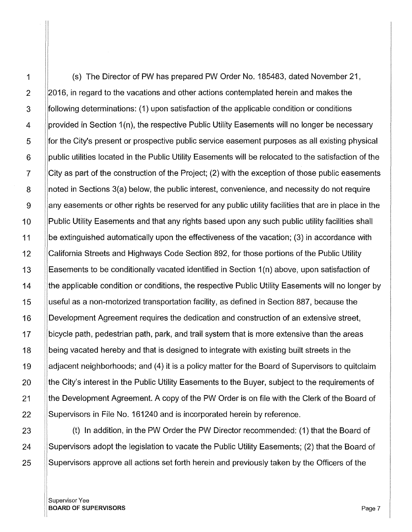1 (s) The Director of PW has prepared PW Order No. 185483, dated November 21, 2 2016, in regard to the vacations and other actions contemplated herein and makes the 3 following determinations: (1) upon satisfaction of the applicable condition or conditions 4 provided in Section 1(n), the respective Public Utility Easements will no longer be necessary 5 for the City's present or prospective public service easement purposes as all existing physical 6 public utilities located in the Public Utility Easements will be relocated to the satisfaction of the 7 City as part of the construction of the Project; (2) with the exception of those public easements 8 | noted in Sections 3(a) below, the public interest, convenience, and necessity do not require 9 | any easements or other rights be reserved for any public utility facilities that are in place in the 10 Public Utility Easements and that any rights based upon any such public utility facilities shall 11 be extinguished automatically upon the effectiveness of the vacation; (3) in accordance with 12 California Streets and Highways Code Section 892, for those portions of the Public Utility 13 Easements to be conditionally vacated identified in Section 1(n) above, upon satisfaction of 14 the applicable condition or conditions, the respective Public Utility Easements will no longer by I 15 useful as a non-motorized transportation facility, as defined in Section 887, because the 16 |Development Agreement requires the dedication and construction of an extensive street, 17 bicycle path, pedestrian path, park, and trail system that is more extensive than the areas 18 being vacated hereby and that is designed to integrate with existing built streets in the 19 adjacent neighborhoods; and (4) it is a policy matter for the Board of Supervisors to quitclaim 20 **the City's interest in the Public Utility Easements to the Buyer, subject to the requirements of** 21 | the Development Agreement. A copy of the PW Order is on file with the Clerk of the Board of 22 Supervisors in File No. 161240 and is incorporated herein by reference.

23 **(b)** In addition, in the PW Order the PW Director recommended: (1) that the Board of 24 Supervisors adopt the legislation to vacate the Public Utility Easements; (2) that the Board of 25 Supervisors approve all actions set forth herein and previously taken by the Officers of the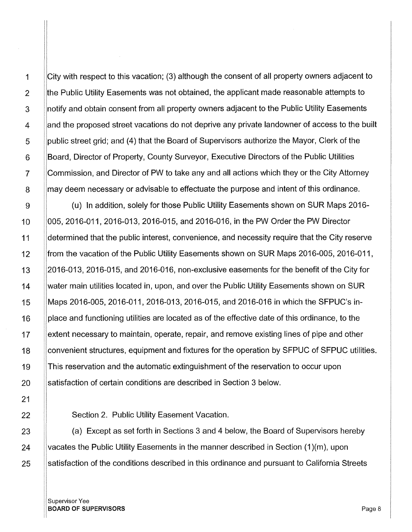21

1 City with respect to this vacation; (3) although the consent of all property owners adjacent to 2 **the Public Utility Easements was not obtained, the applicant made reasonable attempts to** 3 Supporting and obtain consent from all property owners adjacent to the Public Utility Easements 4 and the proposed street vacations do not deprive any private landowner of access to the built 5 | public street grid; and (4) that the Board of Supervisors authorize the Mayor, Clerk of the 6 Board, Director of Property, County Surveyor, Executive Directors of the Public Utilities 7 Commission, and Director of PW to take any and all actions which they or the City Attorney 8 May deem necessary or advisable to effectuate the purpose and intent of this ordinance.

g (u) In addition, solely for those Public Utility Easements shown on SUR Maps 2016- <sup>1</sup>o 005, 2016-011, 2016-013, 2016-015, and 2016-016, in the PW Order the PW Director 11 **determined that the public interest, convenience, and necessity require that the City reserve** 12 **from the vacation of the Public Utility Easements shown on SUR Maps 2016-005, 2016-011,** 13 2016-013, 2016-015, and 2016-016, non-exclusive easements for the benefit of the City for 14 Water main utilities located in, upon, and over the Public Utility Easements shown on SUR 15 Maps 2016-005, 2016-011, 2016-013, 2016-015, and 2016-016 in which the SFPUC's in- $16$  ||place and functioning utilities are located as of the effective date of this ordinance, to the 17 extent necessary to maintain, operate, repair, and remove existing lines of pipe and other 18 Convenient structures, equipment and fixtures for the operation by SFPUC of SFPUC utilities. 19 This reservation and the automatic extinguishment of the reservation to occur upon 20 Satisfaction of certain conditions are described in Section 3 below.

22 **Section 2. Public Utility Easement Vacation.** 

 $23$  (a) Except as set forth in Sections 3 and 4 below, the Board of Supervisors hereby 24 Vacates the Public Utility Easements in the manner described in Section  $(1)(m)$ , upon 25 Satisfaction of the conditions described in this ordinance and pursuant to California Streets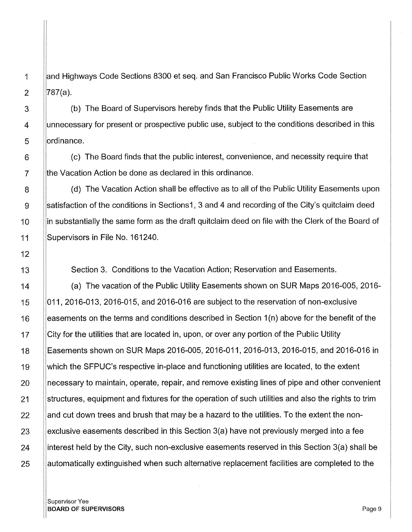1 and Highways Code Sections 8300 et seq. and San Francisco Public Works Code Section 2  $|787(a)|$ .

3 | (b) The Board of Supervisors hereby finds that the Public Utility Easements are 4 | ||unnecessary for present or prospective public use, subject to the conditions described in this 5 | | ordinance.

 $6$   $\parallel$  (c) The Board finds that the public interest, convenience, and necessity require that 7 **the Vacation Action be done as declared in this ordinance.** 

8 | (d) The Vacation Action shall be effective as to all of the Public Utility Easements upon g satisfaction of the conditions in Sections1, 3 and 4 and recording of the City's quitclaim deed 10 Ilin substantially the same form as the draft quitclaim deed on file with the Clerk of the Board of 11 Supervisors in File No. 161240.

Section 3. Conditions to the Vacation Action; Reservation and Easements.

(a) The vacation of the Public Utility Easements shown on SUR Maps 2016-005, 2016- 011, 2016-013, 2016-015, and 2016-016 are subject to the reservation of non-exclusive easements on the terms and conditions described in Section 1(n) above for the benefit of the City for the utilities that are located in, upon, or over any portion of the Public Utility Easements shown on SUR Maps 2016-005, 2016-011, 2016-013, 2016-015, and 2016-016 in which the SFPUC's respective in-place and functioning utilities are located, to the extent necessary to maintain, operate, repair, and remove existing lines of pipe and other convenient structures, equipment and fixtures for the operation of such utilities and also the rights to trim land cut down trees and brush that may be a hazard to the utilities. To the extent the nonexclusive easements described in this Section 3(a) have not previously merged into a fee interest held by the City, such non-exclusive easements reserved in this Section 3(a) shall be automatically extinguished when such alternative replacement facilities are completed to the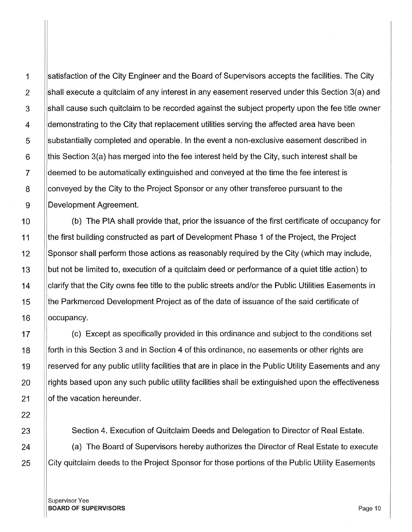1 Satisfaction of the City Engineer and the Board of Supervisors accepts the facilities. The City 2 Shall execute a quitclaim of any interest in any easement reserved under this Section  $3(a)$  and 3 Shall cause such quitclaim to be recorded against the subject property upon the fee title owner 4 demonstrating to the City that replacement utilities serving the affected area have been 5 substantially completed and operable. In the event a non-exclusive easement described in  $6$  ||this Section 3(a) has merged into the fee interest held by the City, such interest shall be deemed to be automatically extinguished and conveyed at the time the fee interest is 8 conveyed by the City to the Project Sponsor or any other transferee pursuant to the 9 Development Agreement.

10 | (b) The PIA shall provide that, prior the issuance of the first certificate of occupancy for 11 **the first building constructed as part of Development Phase 1 of the Project, the Project** 12 |Sponsor shall perform those actions as reasonably required by the City (which may include, 13 but not be limited to, execution of a quitclaim deed or performance of a quiet title action) to 14 Clarify that the City owns fee title to the public streets and/or the Public Utilities Easements in 15 **the Parkmerced Development Project as of the date of issuance of the said certificate of** 16 **loccupancy**.

17 | (c) Except as specifically provided in this ordinance and subject to the conditions set **forth in this Section 3 and in Section 4 of this ordinance, no easements or other rights are I** reserved for any public utility facilities that are in place in the Public Utility Easements and any  $\pm$   $\parallel$ rights based upon any such public utility facilities shall be extinguished upon the effectiveness **of the vacation hereunder.** 

23 **Section 4. Execution of Quitclaim Deeds and Delegation to Director of Real Estate.** 

24 (a) The Board of Supervisors hereby authorizes the Director of Real Estate to execute 25 City quitclaim deeds to the Project Sponsor for those portions of the Public Utility Easements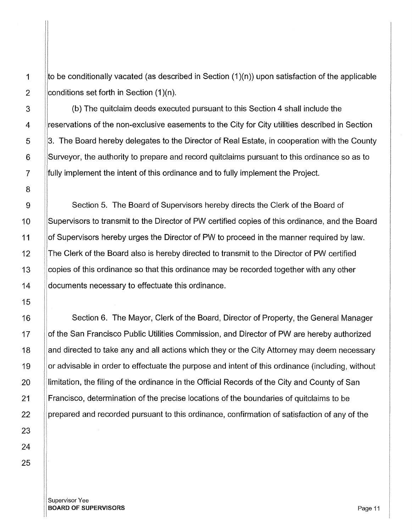1  $\parallel$  to be conditionally vacated (as described in Section (1)(n)) upon satisfaction of the applicable 2  $\vert$  conditions set forth in Section (1)(n).

3 (b) The quitclaim deeds executed pursuant to this Section 4 shall include the 4 | ||reservations of the non-exclusive easements to the City for City utilities described in Section 5 3. The Board hereby delegates to the Director of Real Estate, in cooperation with the County 6 Surveyor, the authority to prepare and record quitclaims pursuant to this ordinance so as to 7 **Fully implement the intent of this ordinance and to fully implement the Project.** 

9 | Section 5. The Board of Supervisors hereby directs the Clerk of the Board of 10 | Supervisors to transmit to the Director of PW certified copies of this ordinance, and the Board 11 | of Supervisors hereby urges the Director of PW to proceed in the manner required by law. 12 | The Clerk of the Board also is hereby directed to transmit to the Director of PW certified 13 Copies of this ordinance so that this ordinance may be recorded together with any other 14 **documents necessary to effectuate this ordinance.** 

16 | Section 6. The Mayor, Clerk of the Board, Director of Property, the General Manager 17 | of the San Francisco Public Utilities Commission, and Director of PW are hereby authorized 18 | and directed to take any and all actions which they or the City Attorney may deem necessary 19 Solon advisable in order to effectuate the purpose and intent of this ordinance (including, without 20 Illimitation, the filing of the ordinance in the Official Records of the City and County of San 21 Francisco, determination of the precise locations of the boundaries of quitclaims to be 22 **prepared and recorded pursuant to this ordinance, confirmation of satisfaction of any of the** 

Supervisor Yee **BOARD OF SUPERVISORS** Page 11 And the United States of the United States of the United States of the Page 11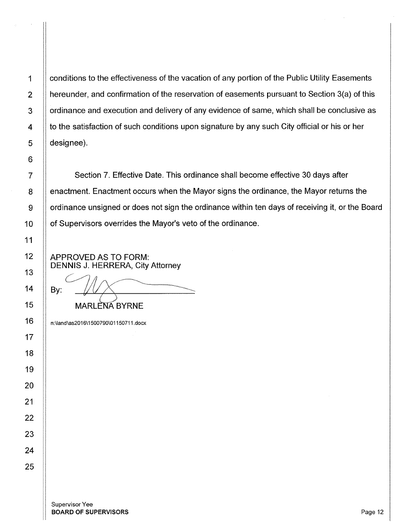1 | conditions to the effectiveness of the vacation of any portion of the Public Utility Easements 2  $\parallel$  hereunder, and confirmation of the reservation of easements pursuant to Section 3(a) of this 3 | ordinance and execution and delivery of any evidence of same, which shall be conclusive as  $4$   $\parallel$  to the satisfaction of such conditions upon signature by any such City official or his or her 5 designee).

7 Section 7. Effective Date. This ordinance shall become effective 30 days after 8 | enactment. Enactment occurs when the Mayor signs the ordinance, the Mayor returns the  $9 \parallel$  ordinance unsigned or does not sign the ordinance within ten days of receiving it, or the Board 10 | of Supervisors overrides the Mayor's veto of the ordinance.

APPROVED AS TO FORM: DENNIS J. HERRERA, City Attorney  $\subset$ 

By:  $\sqrt{11}$  MARLENA BYRNE

n:\land\as2016\1500790\01150711.docx